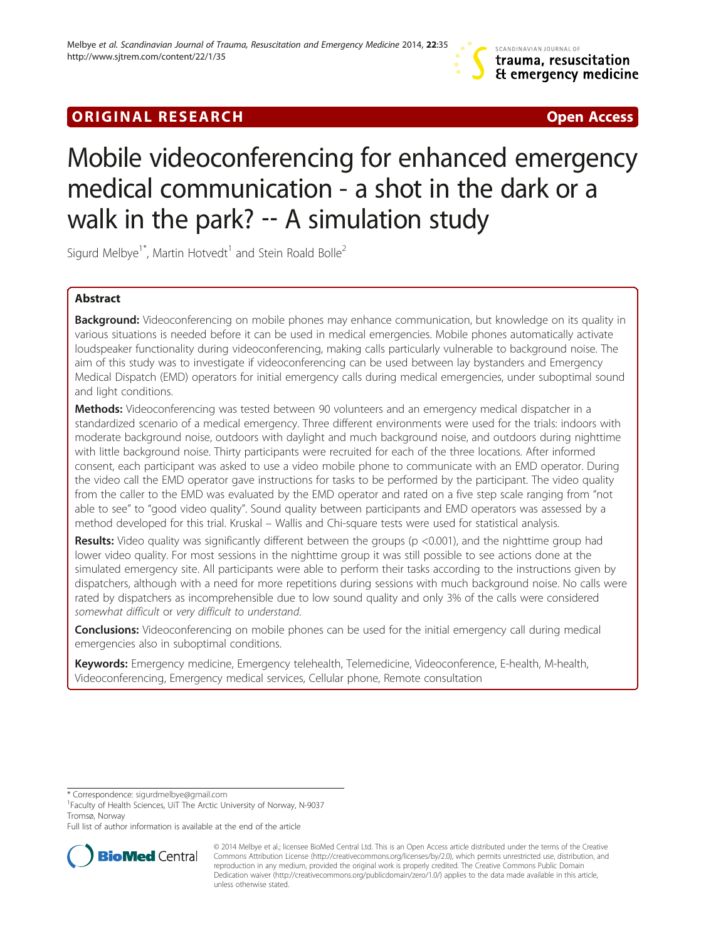## **ORIGINAL RESEARCH CONFIDENTIAL CONSUMING A LOCAL CONFIDENTIAL CONFIDENTIAL CONFIDENTIAL CONFIDENTIAL CONFIDENTI**

# Mobile videoconferencing for enhanced emergency medical communication - a shot in the dark or a walk in the park? -- A simulation study

Sigurd Melbye<sup>1\*</sup>, Martin Hotvedt<sup>1</sup> and Stein Roald Bolle<sup>2</sup>

## Abstract

Background: Videoconferencing on mobile phones may enhance communication, but knowledge on its quality in various situations is needed before it can be used in medical emergencies. Mobile phones automatically activate loudspeaker functionality during videoconferencing, making calls particularly vulnerable to background noise. The aim of this study was to investigate if videoconferencing can be used between lay bystanders and Emergency Medical Dispatch (EMD) operators for initial emergency calls during medical emergencies, under suboptimal sound and light conditions.

Methods: Videoconferencing was tested between 90 volunteers and an emergency medical dispatcher in a standardized scenario of a medical emergency. Three different environments were used for the trials: indoors with moderate background noise, outdoors with daylight and much background noise, and outdoors during nighttime with little background noise. Thirty participants were recruited for each of the three locations. After informed consent, each participant was asked to use a video mobile phone to communicate with an EMD operator. During the video call the EMD operator gave instructions for tasks to be performed by the participant. The video quality from the caller to the EMD was evaluated by the EMD operator and rated on a five step scale ranging from "not able to see" to "good video quality". Sound quality between participants and EMD operators was assessed by a method developed for this trial. Kruskal – Wallis and Chi-square tests were used for statistical analysis.

Results: Video quality was significantly different between the groups (p <0.001), and the nighttime group had lower video quality. For most sessions in the nighttime group it was still possible to see actions done at the simulated emergency site. All participants were able to perform their tasks according to the instructions given by dispatchers, although with a need for more repetitions during sessions with much background noise. No calls were rated by dispatchers as incomprehensible due to low sound quality and only 3% of the calls were considered somewhat difficult or very difficult to understand.

**Conclusions:** Videoconferencing on mobile phones can be used for the initial emergency call during medical emergencies also in suboptimal conditions.

Keywords: Emergency medicine, Emergency telehealth, Telemedicine, Videoconference, E-health, M-health, Videoconferencing, Emergency medical services, Cellular phone, Remote consultation

\* Correspondence: [sigurdmelbye@gmail.com](mailto:sigurdmelbye@gmail.com) <sup>1</sup>

Full list of author information is available at the end of the article



<sup>© 2014</sup> Melbye et al.; licensee BioMed Central Ltd. This is an Open Access article distributed under the terms of the Creative Commons Attribution License [\(http://creativecommons.org/licenses/by/2.0\)](http://creativecommons.org/licenses/by/2.0), which permits unrestricted use, distribution, and reproduction in any medium, provided the original work is properly credited. The Creative Commons Public Domain Dedication waiver [\(http://creativecommons.org/publicdomain/zero/1.0/](http://creativecommons.org/publicdomain/zero/1.0/)) applies to the data made available in this article, unless otherwise stated.

<sup>&</sup>lt;sup>1</sup>Faculty of Health Sciences, UiT The Arctic University of Norway, N-9037 Tromsø, Norway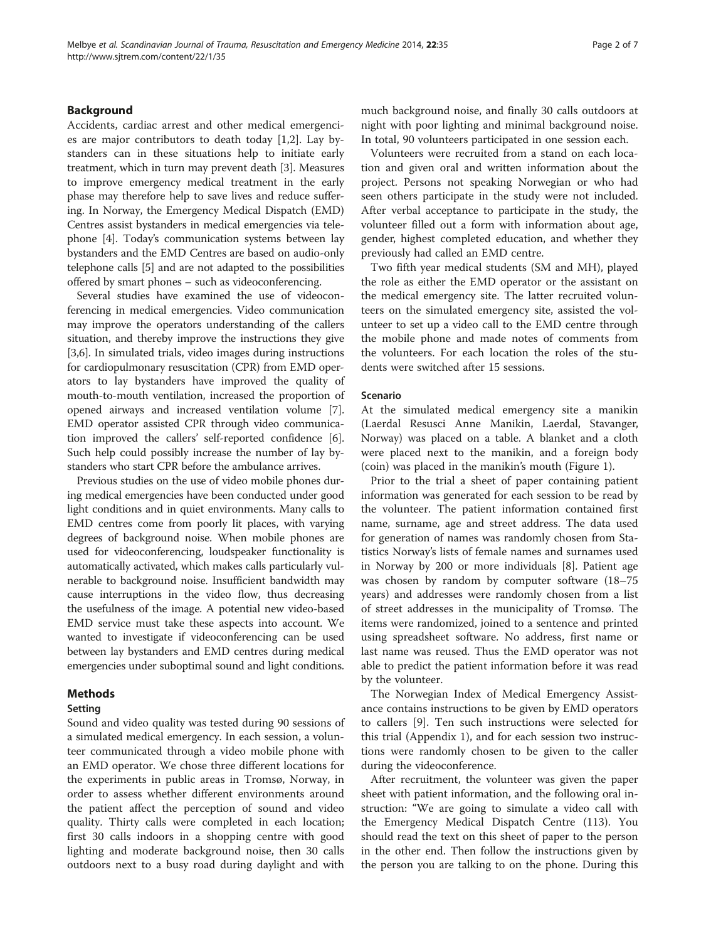## Background

Accidents, cardiac arrest and other medical emergencies are major contributors to death today [\[1,2](#page-6-0)]. Lay bystanders can in these situations help to initiate early treatment, which in turn may prevent death [\[3](#page-6-0)]. Measures to improve emergency medical treatment in the early phase may therefore help to save lives and reduce suffering. In Norway, the Emergency Medical Dispatch (EMD) Centres assist bystanders in medical emergencies via telephone [\[4](#page-6-0)]. Today's communication systems between lay bystanders and the EMD Centres are based on audio-only telephone calls [\[5](#page-6-0)] and are not adapted to the possibilities offered by smart phones – such as videoconferencing.

Several studies have examined the use of videoconferencing in medical emergencies. Video communication may improve the operators understanding of the callers situation, and thereby improve the instructions they give [[3,6](#page-6-0)]. In simulated trials, video images during instructions for cardiopulmonary resuscitation (CPR) from EMD operators to lay bystanders have improved the quality of mouth-to-mouth ventilation, increased the proportion of opened airways and increased ventilation volume [[7](#page-6-0)]. EMD operator assisted CPR through video communication improved the callers' self-reported confidence [[6](#page-6-0)]. Such help could possibly increase the number of lay bystanders who start CPR before the ambulance arrives.

Previous studies on the use of video mobile phones during medical emergencies have been conducted under good light conditions and in quiet environments. Many calls to EMD centres come from poorly lit places, with varying degrees of background noise. When mobile phones are used for videoconferencing, loudspeaker functionality is automatically activated, which makes calls particularly vulnerable to background noise. Insufficient bandwidth may cause interruptions in the video flow, thus decreasing the usefulness of the image. A potential new video-based EMD service must take these aspects into account. We wanted to investigate if videoconferencing can be used between lay bystanders and EMD centres during medical emergencies under suboptimal sound and light conditions.

## Methods

### Setting

Sound and video quality was tested during 90 sessions of a simulated medical emergency. In each session, a volunteer communicated through a video mobile phone with an EMD operator. We chose three different locations for the experiments in public areas in Tromsø, Norway, in order to assess whether different environments around the patient affect the perception of sound and video quality. Thirty calls were completed in each location; first 30 calls indoors in a shopping centre with good lighting and moderate background noise, then 30 calls outdoors next to a busy road during daylight and with

much background noise, and finally 30 calls outdoors at night with poor lighting and minimal background noise. In total, 90 volunteers participated in one session each.

Volunteers were recruited from a stand on each location and given oral and written information about the project. Persons not speaking Norwegian or who had seen others participate in the study were not included. After verbal acceptance to participate in the study, the volunteer filled out a form with information about age, gender, highest completed education, and whether they previously had called an EMD centre.

Two fifth year medical students (SM and MH), played the role as either the EMD operator or the assistant on the medical emergency site. The latter recruited volunteers on the simulated emergency site, assisted the volunteer to set up a video call to the EMD centre through the mobile phone and made notes of comments from the volunteers. For each location the roles of the students were switched after 15 sessions.

## Scenario

At the simulated medical emergency site a manikin (Laerdal Resusci Anne Manikin, Laerdal, Stavanger, Norway) was placed on a table. A blanket and a cloth were placed next to the manikin, and a foreign body (coin) was placed in the manikin's mouth (Figure [1\)](#page-2-0).

Prior to the trial a sheet of paper containing patient information was generated for each session to be read by the volunteer. The patient information contained first name, surname, age and street address. The data used for generation of names was randomly chosen from Statistics Norway's lists of female names and surnames used in Norway by 200 or more individuals [\[8](#page-6-0)]. Patient age was chosen by random by computer software (18–75 years) and addresses were randomly chosen from a list of street addresses in the municipality of Tromsø. The items were randomized, joined to a sentence and printed using spreadsheet software. No address, first name or last name was reused. Thus the EMD operator was not able to predict the patient information before it was read by the volunteer.

The Norwegian Index of Medical Emergency Assistance contains instructions to be given by EMD operators to callers [[9\]](#page-6-0). Ten such instructions were selected for this trial [\(Appendix 1](#page-6-0)), and for each session two instructions were randomly chosen to be given to the caller during the videoconference.

After recruitment, the volunteer was given the paper sheet with patient information, and the following oral instruction: "We are going to simulate a video call with the Emergency Medical Dispatch Centre (113). You should read the text on this sheet of paper to the person in the other end. Then follow the instructions given by the person you are talking to on the phone. During this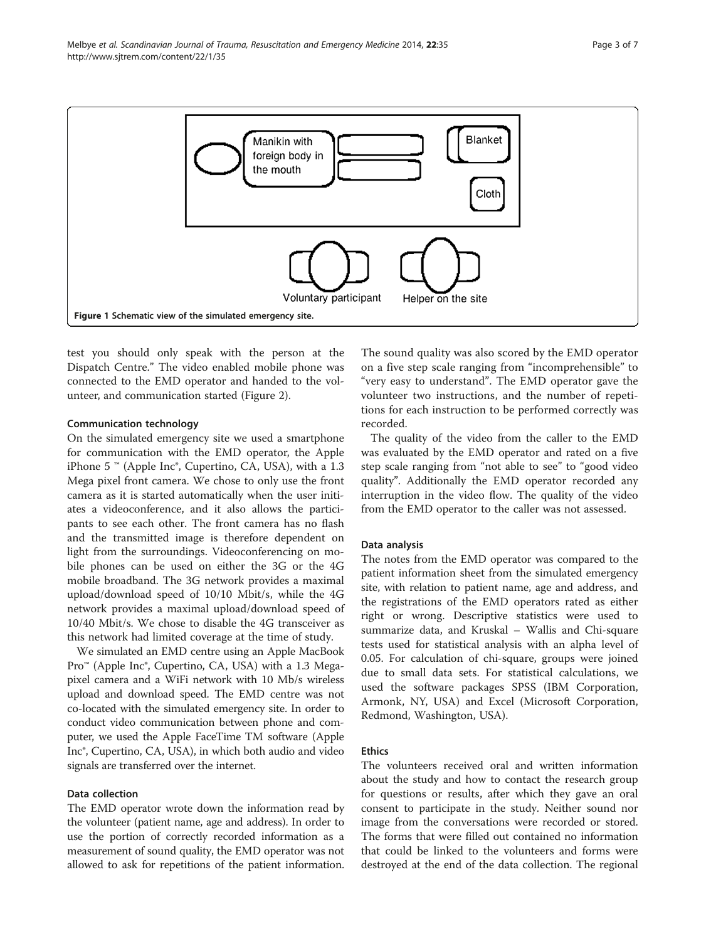<span id="page-2-0"></span>

test you should only speak with the person at the Dispatch Centre." The video enabled mobile phone was connected to the EMD operator and handed to the volunteer, and communication started (Figure [2](#page-3-0)).

Figure 1 Schematic view of the simulated emergency site.

## Communication technology

On the simulated emergency site we used a smartphone for communication with the EMD operator, the Apple iPhone 5  $^{\text{m}}$  (Apple Inc<sup>®</sup>, Cupertino, CA, USA), with a 1.3 Mega pixel front camera. We chose to only use the front camera as it is started automatically when the user initiates a videoconference, and it also allows the participants to see each other. The front camera has no flash and the transmitted image is therefore dependent on light from the surroundings. Videoconferencing on mobile phones can be used on either the 3G or the 4G mobile broadband. The 3G network provides a maximal upload/download speed of 10/10 Mbit/s, while the 4G network provides a maximal upload/download speed of 10/40 Mbit/s. We chose to disable the 4G transceiver as this network had limited coverage at the time of study.

We simulated an EMD centre using an Apple MacBook Pro™ (Apple Inc®, Cupertino, CA, USA) with a 1.3 Megapixel camera and a WiFi network with 10 Mb/s wireless upload and download speed. The EMD centre was not co-located with the simulated emergency site. In order to conduct video communication between phone and computer, we used the Apple FaceTime TM software (Apple Inc®, Cupertino, CA, USA), in which both audio and video signals are transferred over the internet.

## Data collection

The EMD operator wrote down the information read by the volunteer (patient name, age and address). In order to use the portion of correctly recorded information as a measurement of sound quality, the EMD operator was not allowed to ask for repetitions of the patient information.

The sound quality was also scored by the EMD operator on a five step scale ranging from "incomprehensible" to "very easy to understand". The EMD operator gave the volunteer two instructions, and the number of repetitions for each instruction to be performed correctly was recorded.

The quality of the video from the caller to the EMD was evaluated by the EMD operator and rated on a five step scale ranging from "not able to see" to "good video quality". Additionally the EMD operator recorded any interruption in the video flow. The quality of the video from the EMD operator to the caller was not assessed.

## Data analysis

The notes from the EMD operator was compared to the patient information sheet from the simulated emergency site, with relation to patient name, age and address, and the registrations of the EMD operators rated as either right or wrong. Descriptive statistics were used to summarize data, and Kruskal – Wallis and Chi-square tests used for statistical analysis with an alpha level of 0.05. For calculation of chi-square, groups were joined due to small data sets. For statistical calculations, we used the software packages SPSS (IBM Corporation, Armonk, NY, USA) and Excel (Microsoft Corporation, Redmond, Washington, USA).

## **Ethics**

The volunteers received oral and written information about the study and how to contact the research group for questions or results, after which they gave an oral consent to participate in the study. Neither sound nor image from the conversations were recorded or stored. The forms that were filled out contained no information that could be linked to the volunteers and forms were destroyed at the end of the data collection. The regional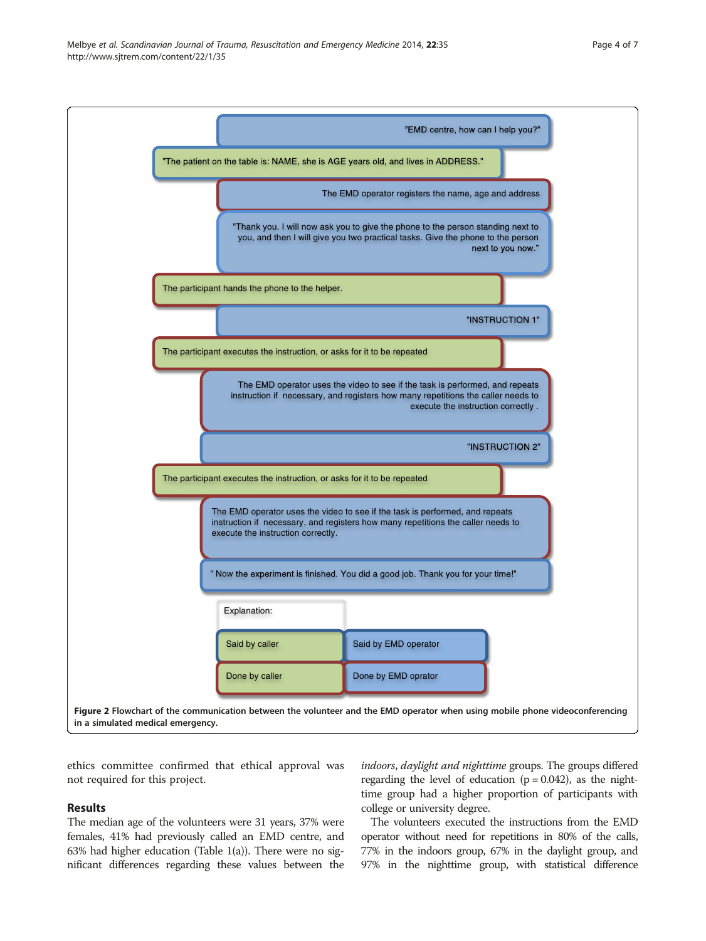<span id="page-3-0"></span>

ethics committee confirmed that ethical approval was not required for this project.

## Results

The median age of the volunteers were 31 years, 37% were females, 41% had previously called an EMD centre, and 63% had higher education (Table  $1(a)$ ). There were no significant differences regarding these values between the

indoors, daylight and nighttime groups. The groups differed regarding the level of education  $(p = 0.042)$ , as the nighttime group had a higher proportion of participants with college or university degree.

The volunteers executed the instructions from the EMD operator without need for repetitions in 80% of the calls, 77% in the indoors group, 67% in the daylight group, and 97% in the nighttime group, with statistical difference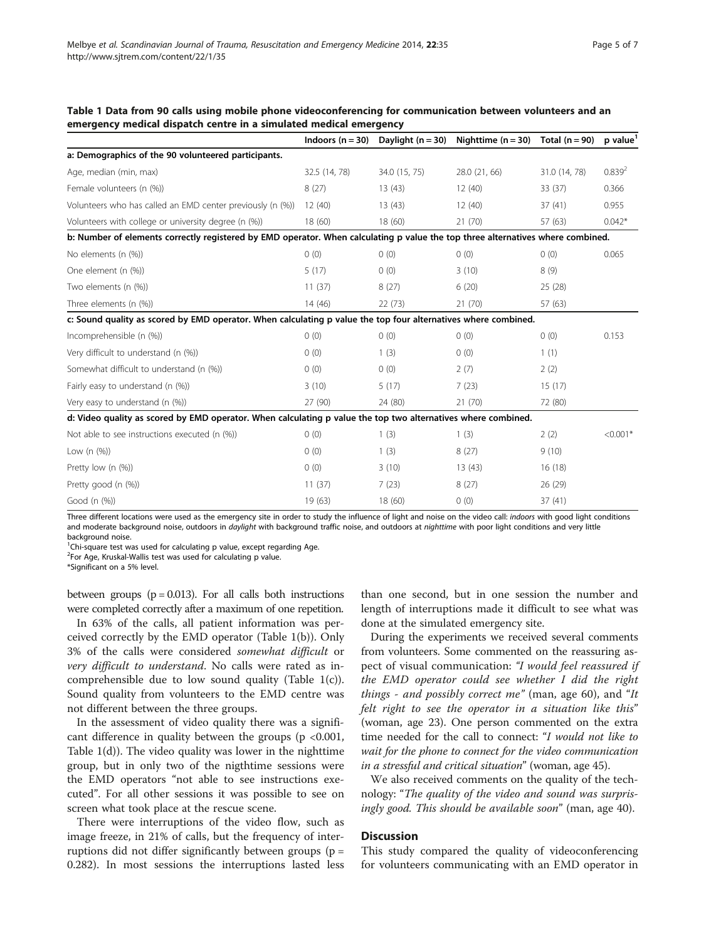|                                                                                                                                 | Indoors $(n = 30)$ | Daylight $(n = 30)$ | Nighttime ( $n = 30$ ) | Total $(n = 90)$ | p value <sup>1</sup> |
|---------------------------------------------------------------------------------------------------------------------------------|--------------------|---------------------|------------------------|------------------|----------------------|
| a: Demographics of the 90 volunteered participants.                                                                             |                    |                     |                        |                  |                      |
| Age, median (min, max)                                                                                                          | 32.5 (14, 78)      | 34.0 (15, 75)       | 28.0 (21, 66)          | 31.0 (14, 78)    | 0.839 <sup>2</sup>   |
| Female volunteers (n (%))                                                                                                       | 8(27)              | 13(43)              | 12(40)                 | 33 (37)          | 0.366                |
| Volunteers who has called an EMD center previously (n (%))                                                                      | 12(40)             | 13(43)              | 12(40)                 | 37(41)           | 0.955                |
| Volunteers with college or university degree (n (%))                                                                            | 18 (60)            | 18 (60)             | 21(70)                 | 57 (63)          | $0.042*$             |
| b: Number of elements correctly registered by EMD operator. When calculating p value the top three alternatives where combined. |                    |                     |                        |                  |                      |
| No elements (n (%))                                                                                                             | 0(0)               | 0(0)                | 0(0)                   | 0(0)             | 0.065                |
| One element (n (%))                                                                                                             | 5(17)              | 0(0)                | 3(10)                  | 8(9)             |                      |
| Two elements (n (%))                                                                                                            | 11(37)             | 8(27)               | 6(20)                  | 25(28)           |                      |
| Three elements (n (%))                                                                                                          | 14(46)             | 22(73)              | 21(70)                 | 57 (63)          |                      |
| c: Sound quality as scored by EMD operator. When calculating p value the top four alternatives where combined.                  |                    |                     |                        |                  |                      |
| Incomprehensible (n (%))                                                                                                        | 0(0)               | 0(0)                | 0(0)                   | 0(0)             | 0.153                |
| Very difficult to understand (n (%))                                                                                            | 0(0)               | 1(3)                | 0(0)                   | 1(1)             |                      |
| Somewhat difficult to understand (n (%))                                                                                        | 0(0)               | 0(0)                | 2(7)                   | 2(2)             |                      |
| Fairly easy to understand (n (%))                                                                                               | 3(10)              | 5(17)               | 7(23)                  | 15(17)           |                      |
| Very easy to understand (n (%))                                                                                                 | 27 (90)            | 24 (80)             | 21(70)                 | 72 (80)          |                      |
| d: Video quality as scored by EMD operator. When calculating p value the top two alternatives where combined.                   |                    |                     |                        |                  |                      |
| Not able to see instructions executed (n (%))                                                                                   | 0(0)               | 1(3)                | 1(3)                   | 2(2)             | $< 0.001*$           |
| Low $(n(%)$                                                                                                                     | 0(0)               | 1(3)                | 8(27)                  | 9(10)            |                      |
| Pretty low (n (%))                                                                                                              | 0(0)               | 3(10)               | 13(43)                 | 16(18)           |                      |
| Pretty good (n (%))                                                                                                             | 11(37)             | 7(23)               | 8(27)                  | 26 (29)          |                      |
| Good (n (%))                                                                                                                    | 19 (63)            | 18 (60)             | 0(0)                   | 37(41)           |                      |

<span id="page-4-0"></span>Table 1 Data from 90 calls using mobile phone videoconferencing for communication between volunteers and an emergency medical dispatch centre in a simulated medical emergency

Three different locations were used as the emergency site in order to study the influence of light and noise on the video call: indoors with good light conditions and moderate background noise, outdoors in daylight with background traffic noise, and outdoors at nighttime with poor light conditions and very little background noise.

<sup>1</sup>Chi-square test was used for calculating p value, except regarding Age.

<sup>2</sup>For Age, Kruskal-Wallis test was used for calculating p value.

\*Significant on a 5% level.

between groups ( $p = 0.013$ ). For all calls both instructions were completed correctly after a maximum of one repetition.

In 63% of the calls, all patient information was perceived correctly by the EMD operator (Table 1(b)). Only 3% of the calls were considered somewhat difficult or very difficult to understand. No calls were rated as incomprehensible due to low sound quality (Table 1(c)). Sound quality from volunteers to the EMD centre was not different between the three groups.

In the assessment of video quality there was a significant difference in quality between the groups ( $p < 0.001$ , Table 1(d)). The video quality was lower in the nighttime group, but in only two of the nigthtime sessions were the EMD operators "not able to see instructions executed". For all other sessions it was possible to see on screen what took place at the rescue scene.

There were interruptions of the video flow, such as image freeze, in 21% of calls, but the frequency of interruptions did not differ significantly between groups ( $p =$ 0.282). In most sessions the interruptions lasted less than one second, but in one session the number and length of interruptions made it difficult to see what was done at the simulated emergency site.

During the experiments we received several comments from volunteers. Some commented on the reassuring aspect of visual communication: "I would feel reassured if the EMD operator could see whether I did the right things - and possibly correct me" (man, age 60), and "It felt right to see the operator in a situation like this" (woman, age 23). One person commented on the extra time needed for the call to connect: "I would not like to wait for the phone to connect for the video communication in a stressful and critical situation" (woman, age 45).

We also received comments on the quality of the technology: "The quality of the video and sound was surprisingly good. This should be available soon" (man, age 40).

#### Discussion

This study compared the quality of videoconferencing for volunteers communicating with an EMD operator in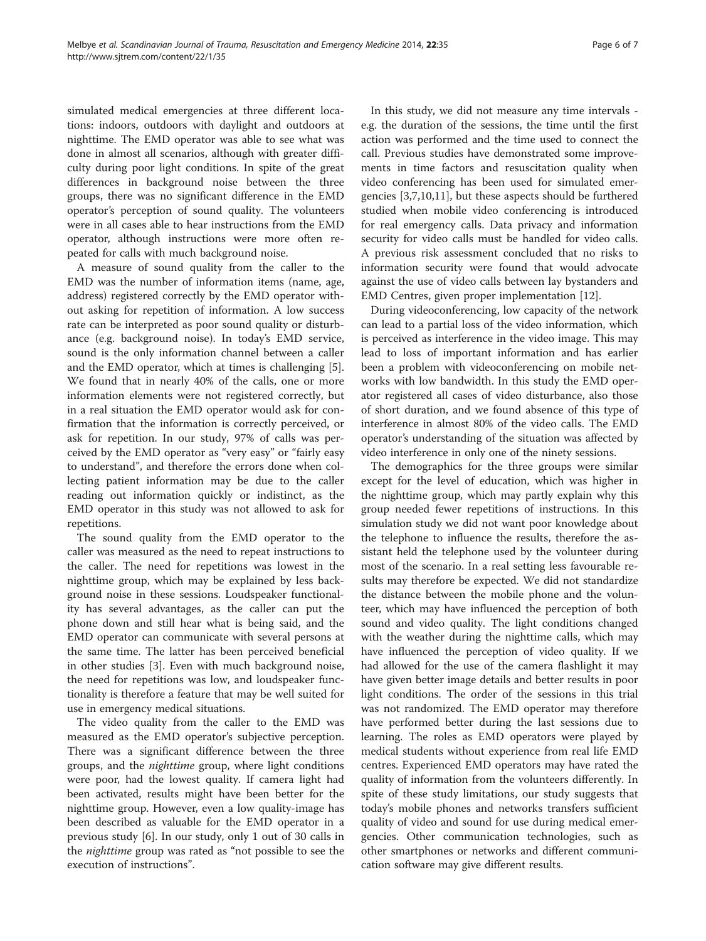simulated medical emergencies at three different locations: indoors, outdoors with daylight and outdoors at nighttime. The EMD operator was able to see what was done in almost all scenarios, although with greater difficulty during poor light conditions. In spite of the great differences in background noise between the three groups, there was no significant difference in the EMD operator's perception of sound quality. The volunteers were in all cases able to hear instructions from the EMD operator, although instructions were more often repeated for calls with much background noise.

A measure of sound quality from the caller to the EMD was the number of information items (name, age, address) registered correctly by the EMD operator without asking for repetition of information. A low success rate can be interpreted as poor sound quality or disturbance (e.g. background noise). In today's EMD service, sound is the only information channel between a caller and the EMD operator, which at times is challenging [\[5](#page-6-0)]. We found that in nearly 40% of the calls, one or more information elements were not registered correctly, but in a real situation the EMD operator would ask for confirmation that the information is correctly perceived, or ask for repetition. In our study, 97% of calls was perceived by the EMD operator as "very easy" or "fairly easy to understand", and therefore the errors done when collecting patient information may be due to the caller reading out information quickly or indistinct, as the EMD operator in this study was not allowed to ask for repetitions.

The sound quality from the EMD operator to the caller was measured as the need to repeat instructions to the caller. The need for repetitions was lowest in the nighttime group, which may be explained by less background noise in these sessions. Loudspeaker functionality has several advantages, as the caller can put the phone down and still hear what is being said, and the EMD operator can communicate with several persons at the same time. The latter has been perceived beneficial in other studies [\[3\]](#page-6-0). Even with much background noise, the need for repetitions was low, and loudspeaker functionality is therefore a feature that may be well suited for use in emergency medical situations.

The video quality from the caller to the EMD was measured as the EMD operator's subjective perception. There was a significant difference between the three groups, and the nighttime group, where light conditions were poor, had the lowest quality. If camera light had been activated, results might have been better for the nighttime group. However, even a low quality-image has been described as valuable for the EMD operator in a previous study [[6\]](#page-6-0). In our study, only 1 out of 30 calls in the nighttime group was rated as "not possible to see the execution of instructions".

In this study, we did not measure any time intervals e.g. the duration of the sessions, the time until the first action was performed and the time used to connect the call. Previous studies have demonstrated some improvements in time factors and resuscitation quality when video conferencing has been used for simulated emergencies [[3](#page-6-0),[7,10](#page-6-0),[11](#page-6-0)], but these aspects should be furthered studied when mobile video conferencing is introduced for real emergency calls. Data privacy and information security for video calls must be handled for video calls. A previous risk assessment concluded that no risks to information security were found that would advocate against the use of video calls between lay bystanders and EMD Centres, given proper implementation [\[12](#page-6-0)].

During videoconferencing, low capacity of the network can lead to a partial loss of the video information, which is perceived as interference in the video image. This may lead to loss of important information and has earlier been a problem with videoconferencing on mobile networks with low bandwidth. In this study the EMD operator registered all cases of video disturbance, also those of short duration, and we found absence of this type of interference in almost 80% of the video calls. The EMD operator's understanding of the situation was affected by video interference in only one of the ninety sessions.

The demographics for the three groups were similar except for the level of education, which was higher in the nighttime group, which may partly explain why this group needed fewer repetitions of instructions. In this simulation study we did not want poor knowledge about the telephone to influence the results, therefore the assistant held the telephone used by the volunteer during most of the scenario. In a real setting less favourable results may therefore be expected. We did not standardize the distance between the mobile phone and the volunteer, which may have influenced the perception of both sound and video quality. The light conditions changed with the weather during the nighttime calls, which may have influenced the perception of video quality. If we had allowed for the use of the camera flashlight it may have given better image details and better results in poor light conditions. The order of the sessions in this trial was not randomized. The EMD operator may therefore have performed better during the last sessions due to learning. The roles as EMD operators were played by medical students without experience from real life EMD centres. Experienced EMD operators may have rated the quality of information from the volunteers differently. In spite of these study limitations, our study suggests that today's mobile phones and networks transfers sufficient quality of video and sound for use during medical emergencies. Other communication technologies, such as other smartphones or networks and different communication software may give different results.